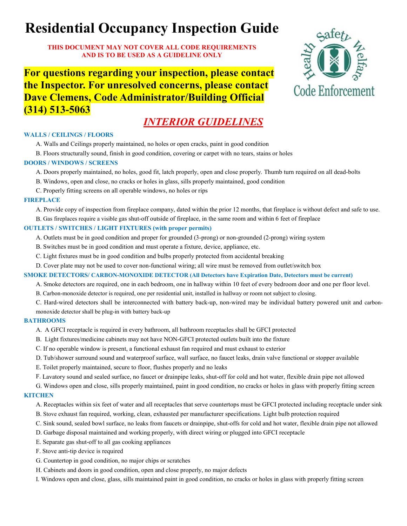# **Residential Occupancy Inspection Guide**

**THIS DOCUMENT MAY NOT COVER ALL CODE REQUIREMENTS AND IS TO BE USED AS A GUIDELINE ONLY**

**For questions regarding your inspection, please contact the Inspector. For unresolved concerns, please contact Dave Clemens, Code Administrator/Building Official (314) 513-5063**

# *INTERIOR GUIDELINES*

#### **WALLS / CEILINGS / FLOORS**

A. Walls and Ceilings properly maintained, no holes or open cracks, paint in good condition

B. Floors structurally sound, finish in good condition, covering or carpet with no tears, stains or holes

#### **DOORS / WINDOWS / SCREENS**

- A. Doors properly maintained, no holes, good fit, latch properly, open and close properly. Thumb turn required on all dead-bolts
- B. Windows, open and close, no cracks or holes in glass, sills properly maintained, good condition
- C. Properly fitting screens on all operable windows, no holes or rips

#### **FIREPLACE**

A. Provide copy of inspection from fireplace company, dated within the prior 12 months, that fireplace is without defect and safe to use.

B. Gas fireplaces require a visible gas shut-off outside of fireplace, in the same room and within 6 feet of fireplace

#### **OUTLETS / SWITCHES / LIGHT FIXTURES (with proper permits)**

- A. Outlets must be in good condition and proper for grounded (3-prong) or non-grounded (2-prong) wiring system
- B. Switches must be in good condition and must operate a fixture, device, appliance, etc.
- C. Light fixtures must be in good condition and bulbs properly protected from accidental breaking
- D. Cover plate may not be used to cover non-functional wiring; all wire must be removed from outlet/switch box

#### **SMOKE DETECTORS/ CARBON-MONOXIDE DETECTOR (All Detectors have Expiration Date, Detectors must be current)**

- A. Smoke detectors are required, one in each bedroom, one in hallway within 10 feet of every bedroom door and one per floor level.
- B. Carbon-monoxide detector is required, one per residential unit, installed in hallway or room not subject to closing.
- C. Hard-wired detectors shall be interconnected with battery back-up, non-wired may be individual battery powered unit and carbonmonoxide detector shall be plug-in with battery back-up

#### **BATHROOMS**

- A. A GFCI receptacle is required in every bathroom, all bathroom receptacles shall be GFCI protected
- B. Light fixtures/medicine cabinets may not have NON-GFCI protected outlets built into the fixture
- C. If no operable window is present, a functional exhaust fan required and must exhaust to exterior
- D. Tub/shower surround sound and waterproof surface, wall surface, no faucet leaks, drain valve functional or stopper available
- E. Toilet properly maintained, secure to floor, flushes properly and no leaks
- F. Lavatory sound and sealed surface, no faucet or drainpipe leaks, shut-off for cold and hot water, flexible drain pipe not allowed
- G. Windows open and close, sills properly maintained, paint in good condition, no cracks or holes in glass with properly fitting screen **KITCHEN**

### A. Receptacles within six feet of water and all receptacles that serve countertops must be GFCI protected including receptacle under sink

- B. Stove exhaust fan required, working, clean, exhausted per manufacturer specifications. Light bulb protection required
- C. Sink sound, sealed bowl surface, no leaks from faucets or drainpipe, shut-offs for cold and hot water, flexible drain pipe not allowed
- D. Garbage disposal maintained and working properly, with direct wiring or plugged into GFCI receptacle
- E. Separate gas shut-off to all gas cooking appliances
- F. Stove anti-tip device is required
- G. Countertop in good condition, no major chips or scratches
- H. Cabinets and doors in good condition, open and close properly, no major defects
- I. Windows open and close, glass, sills maintained paint in good condition, no cracks or holes in glass with properly fitting screen

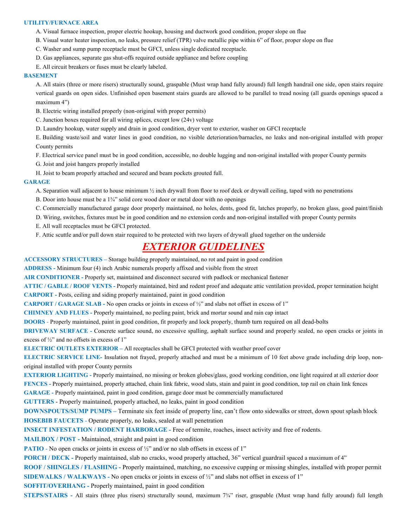#### **UTILITY/FURNACE AREA**

- A. Visual furnace inspection, proper electric hookup, housing and ductwork good condition, proper slope on flue
- B. Visual water heater inspection, no leaks, pressure relief (TPR) valve metallic pipe within 6" of floor, proper slope on flue
- C. Washer and sump pump receptacle must be GFCI, unless single dedicated receptacle.
- D. Gas appliances, separate gas shut-offs required outside appliance and before coupling
- E. All circuit breakers or fuses must be clearly labeled.

#### **BASEMENT**

A. All stairs (three or more risers) structurally sound, graspable (Must wrap hand fully around) full length handrail one side, open stairs require vertical guards on open sides. Unfinished open basement stairs guards are allowed to be parallel to tread nosing (all guards openings spaced a maximum 4")

- B. Electric wiring installed properly (non-original with proper permits)
- C. Junction boxes required for all wiring splices, except low (24v) voltage
- D. Laundry hookup, water supply and drain in good condition, dryer vent to exterior, washer on GFCI receptacle

E. Building waste/soil and water lines in good condition, no visible deterioration/barnacles, no leaks and non-original installed with proper County permits

F. Electrical service panel must be in good condition, accessible, no double lugging and non-original installed with proper County permits

- G. Joist and joist hangers properly installed
- H. Joist to beam properly attached and secured and beam pockets grouted full.

#### **GARAGE**

- A. Separation wall adjacent to house minimum  $\frac{1}{2}$  inch drywall from floor to roof deck or drywall ceiling, taped with no penetrations
- B. Door into house must be a  $1\frac{3}{4}$  solid core wood door or metal door with no openings
- C. Commercially manufactured garage door properly maintained, no holes, dents, good fit, latches properly, no broken glass, good paint/finish
- D. Wiring, switches, fixtures must be in good condition and no extension cords and non-original installed with proper County permits
- E. All wall receptacles must be GFCI protected.
- F. Attic scuttle and/or pull down stair required to be protected with two layers of drywall glued together on the underside

### *EXTERIOR GUIDELINES*

**ACCESSORY STRUCTURES –** Storage building properly maintained, no rot and paint in good condition

**ADDRESS -** Minimum four (4) inch Arabic numerals properly affixed and visible from the street

**AIR CONDITIONER -** Properly set, maintained and disconnect secured with padlock or mechanical fastener

**ATTIC / GABLE / ROOF VENTS -** Properly maintained, bird and rodent proof and adequate attic ventilation provided, proper termination height

**CARPORT -** Posts, ceiling and siding properly maintained, paint in good condition

**CARPORT / GARAGE SLAB -** No open cracks or joints in excess of ½" and slabs not offset in excess of 1"

**CHIMNEY AND FLUES -** Properly maintained, no peeling paint, brick and mortar sound and rain cap intact

**DOORS** - Properly maintained, paint in good condition, fit properly and lock properly, thumb turn required on all dead-bolts

**DRIVEWAY SURFACE** - Concrete surface sound, no excessive spalling, asphalt surface sound and properly sealed, no open cracks or joints in excess of ½" and no offsets in excess of 1"

**ELECTRIC OUTLETS EXTERIOR –** All receptacles shall be GFCI protected with weather proof cover

**ELECTRIC SERVICE LINE-** Insulation not frayed, properly attached and must be a minimum of 10 feet above grade including drip loop, nonoriginal installed with proper County permits

**EXTERIOR LIGHTING** - Properly maintained, no missing or broken globes/glass, good working condition, one light required at all exterior door **FENCES -** Properly maintained, properly attached, chain link fabric, wood slats, stain and paint in good condition, top rail on chain link fences **GARAGE -** Properly maintained, paint in good condition, garage door must be commercially manufactured

**GUTTERS** - Properly maintained, properly attached, no leaks, paint in good condition

**DOWNSPOUTS/SUMP PUMPS –** Terminate six feet inside of property line, can't flow onto sidewalks or street, down spout splash block **HOSEBIB FAUCETS** - Operate properly, no leaks, sealed at wall penetration

**INSECT INFESTATION / RODENT HARBORAGE -** Free of termite, roaches, insect activity and free of rodents.

**MAILBOX / POST -** Maintained, straight and paint in good condition

**PATIO** - No open cracks or joints in excess of  $\frac{1}{2}$  and/or no slab offsets in excess of 1"

**PORCH / DECK -** Properly maintained, slab no cracks, wood properly attached, 36" vertical guardrail spaced a maximum of 4"

**ROOF / SHINGLES / FLASHING -** Properly maintained, matching, no excessive cupping or missing shingles, installed with proper permit **SIDEWALKS / WALKWAYS -** No open cracks or joints in excess of ½" and slabs not offset in excess of 1"

**SOFFIT/OVERHANG -** Properly maintained, paint in good condition

**STEPS/STAIRS** - All stairs (three plus risers) structurally sound, maximum 7<sup>3</sup>/4" riser, graspable (Must wrap hand fully around) full length